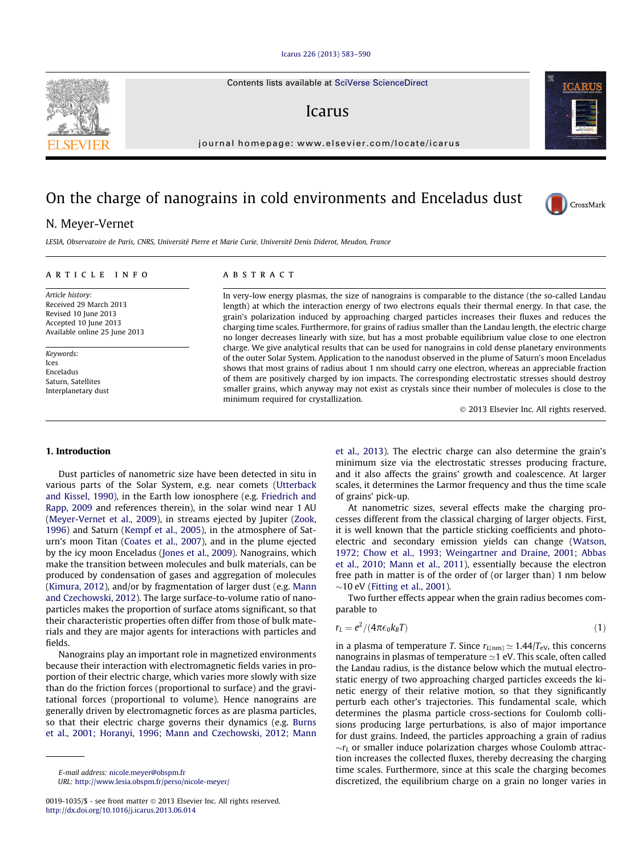#### [Icarus 226 \(2013\) 583–590](http://dx.doi.org/10.1016/j.icarus.2013.06.014)

Contents lists available at [SciVerse ScienceDirect](http://www.sciencedirect.com/science/journal/00191035)

# Icarus

journal homepage: [www.elsevier.com/locate/icarus](http://www.elsevier.com/locate/icarus)

# On the charge of nanograins in cold environments and Enceladus dust

# N. Meyer-Vernet

LESIA, Observatoire de Paris, CNRS, Université Pierre et Marie Curie, Université Denis Diderot, Meudon, France

#### article info

Article history: Received 29 March 2013 Revised 10 June 2013 Accepted 10 June 2013 Available online 25 June 2013

Keywords: Ices Enceladus Saturn, Satellites Interplanetary dust

### **ABSTRACT**

In very-low energy plasmas, the size of nanograins is comparable to the distance (the so-called Landau length) at which the interaction energy of two electrons equals their thermal energy. In that case, the grain's polarization induced by approaching charged particles increases their fluxes and reduces the charging time scales. Furthermore, for grains of radius smaller than the Landau length, the electric charge no longer decreases linearly with size, but has a most probable equilibrium value close to one electron charge. We give analytical results that can be used for nanograins in cold dense planetary environments of the outer Solar System. Application to the nanodust observed in the plume of Saturn's moon Enceladus shows that most grains of radius about 1 nm should carry one electron, whereas an appreciable fraction of them are positively charged by ion impacts. The corresponding electrostatic stresses should destroy smaller grains, which anyway may not exist as crystals since their number of molecules is close to the minimum required for crystallization.

- 2013 Elsevier Inc. All rights reserved.

#### 1. Introduction

Dust particles of nanometric size have been detected in situ in various parts of the Solar System, e.g. near comets ([Utterback](#page-7-0) [and Kissel, 1990](#page-7-0)), in the Earth low ionosphere (e.g. [Friedrich and](#page-6-0) [Rapp, 2009](#page-6-0) and references therein), in the solar wind near 1 AU ([Meyer-Vernet et al., 2009](#page-6-0)), in streams ejected by Jupiter [\(Zook,](#page-7-0) [1996\)](#page-7-0) and Saturn ([Kempf et al., 2005\)](#page-6-0), in the atmosphere of Saturn's moon Titan [\(Coates et al., 2007](#page-6-0)), and in the plume ejected by the icy moon Enceladus ([Jones et al., 2009](#page-6-0)). Nanograins, which make the transition between molecules and bulk materials, can be produced by condensation of gases and aggregation of molecules ([Kimura, 2012\)](#page-6-0), and/or by fragmentation of larger dust (e.g. [Mann](#page-6-0) [and Czechowski, 2012](#page-6-0)). The large surface-to-volume ratio of nanoparticles makes the proportion of surface atoms significant, so that their characteristic properties often differ from those of bulk materials and they are major agents for interactions with particles and fields.

Nanograins play an important role in magnetized environments because their interaction with electromagnetic fields varies in proportion of their electric charge, which varies more slowly with size than do the friction forces (proportional to surface) and the gravitational forces (proportional to volume). Hence nanograins are generally driven by electromagnetic forces as are plasma particles, so that their electric charge governs their dynamics (e.g. [Burns](#page-6-0) [et al., 2001; Horanyi, 1996; Mann and Czechowski, 2012; Mann](#page-6-0)

E-mail address: [nicole.meyer@obspm.fr](mailto:nicole.meyer@obspm.fr) URL: <http://www.lesia.obspm.fr/perso/nicole-meyer/> [et al., 2013](#page-6-0)). The electric charge can also determine the grain's minimum size via the electrostatic stresses producing fracture, and it also affects the grains' growth and coalescence. At larger scales, it determines the Larmor frequency and thus the time scale of grains' pick-up.

At nanometric sizes, several effects make the charging processes different from the classical charging of larger objects. First, it is well known that the particle sticking coefficients and photoelectric and secondary emission yields can change ([Watson,](#page-7-0) [1972; Chow et al., 1993; Weingartner and Draine, 2001; Abbas](#page-7-0) [et al., 2010; Mann et al., 2011\)](#page-7-0), essentially because the electron free path in matter is of the order of (or larger than) 1 nm below  $\sim$ 10 eV ([Fitting et al., 2001\)](#page-6-0).

Two further effects appear when the grain radius becomes comparable to

$$
r_L = e^2/(4\pi\epsilon_0 k_B T) \tag{1}
$$

in a plasma of temperature T. Since  $r_{L(nm)} \simeq 1.44/T_{\rm eV}$ , this concerns nanograins in plasmas of temperature  $\simeq$  1 eV. This scale, often called the Landau radius, is the distance below which the mutual electrostatic energy of two approaching charged particles exceeds the kinetic energy of their relative motion, so that they significantly perturb each other's trajectories. This fundamental scale, which determines the plasma particle cross-sections for Coulomb collisions producing large perturbations, is also of major importance for dust grains. Indeed, the particles approaching a grain of radius  $\sim$ r $_L$  or smaller induce polarization charges whose Coulomb attraction increases the collected fluxes, thereby decreasing the charging time scales. Furthermore, since at this scale the charging becomes discretized, the equilibrium charge on a grain no longer varies in





CrossMark

<sup>0019-1035/\$ -</sup> see front matter © 2013 Elsevier Inc. All rights reserved. <http://dx.doi.org/10.1016/j.icarus.2013.06.014>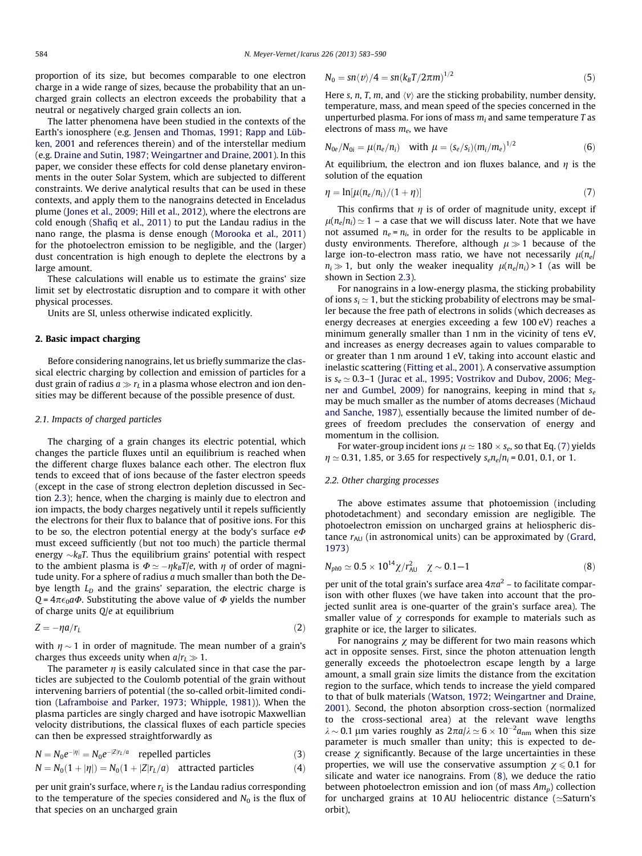<span id="page-1-0"></span>proportion of its size, but becomes comparable to one electron charge in a wide range of sizes, because the probability that an uncharged grain collects an electron exceeds the probability that a neutral or negatively charged grain collects an ion.

The latter phenomena have been studied in the contexts of the Earth's ionosphere (e.g. [Jensen and Thomas, 1991; Rapp and Lüb](#page-6-0)[ken, 2001](#page-6-0) and references therein) and of the interstellar medium (e.g. [Draine and Sutin, 1987; Weingartner and Draine, 2001](#page-6-0)). In this paper, we consider these effects for cold dense planetary environments in the outer Solar System, which are subjected to different constraints. We derive analytical results that can be used in these contexts, and apply them to the nanograins detected in Enceladus plume [\(Jones et al., 2009; Hill et al., 2012\)](#page-6-0), where the electrons are cold enough ([Shafiq et al., 2011\)](#page-6-0) to put the Landau radius in the nano range, the plasma is dense enough [\(Morooka et al., 2011\)](#page-6-0) for the photoelectron emission to be negligible, and the (larger) dust concentration is high enough to deplete the electrons by a large amount.

These calculations will enable us to estimate the grains' size limit set by electrostatic disruption and to compare it with other physical processes.

Units are SI, unless otherwise indicated explicitly.

#### 2. Basic impact charging

Before considering nanograins, let us briefly summarize the classical electric charging by collection and emission of particles for a dust grain of radius  $a \gg r_L$  in a plasma whose electron and ion densities may be different because of the possible presence of dust.

#### 2.1. Impacts of charged particles

The charging of a grain changes its electric potential, which changes the particle fluxes until an equilibrium is reached when the different charge fluxes balance each other. The electron flux tends to exceed that of ions because of the faster electron speeds (except in the case of strong electron depletion discussed in Section [2.3\)](#page-2-0); hence, when the charging is mainly due to electron and ion impacts, the body charges negatively until it repels sufficiently the electrons for their flux to balance that of positive ions. For this to be so, the electron potential energy at the body's surface  $e\Phi$ must exceed sufficiently (but not too much) the particle thermal energy  ${\sim}k_{B}T.$  Thus the equilibrium grains' potential with respect to the ambient plasma is  $\Phi \simeq -\eta k_BT/e$ , with  $\eta$  of order of magnitude unity. For a sphere of radius a much smaller than both the Debye length  $L_D$  and the grains' separation, the electric charge is  $Q = 4\pi\epsilon_0 a\Phi$ . Substituting the above value of  $\Phi$  yields the number of charge units  $Q/e$  at equilibrium

$$
Z = -\eta a/r_L \tag{2}
$$

with  $\eta \sim 1$  in order of magnitude. The mean number of a grain's charges thus exceeds unity when  $a/r_L \gg 1$ .

The parameter  $\eta$  is easily calculated since in that case the particles are subjected to the Coulomb potential of the grain without intervening barriers of potential (the so-called orbit-limited condition [\(Laframboise and Parker, 1973; Whipple, 1981\)](#page-6-0)). When the plasma particles are singly charged and have isotropic Maxwellian velocity distributions, the classical fluxes of each particle species can then be expressed straightforwardly as

$$
N = N_0 e^{-|\eta|} = N_0 e^{-|Z|r_L/a}
$$
 repelled particles (3)

$$
N = N_0(1 + |\eta|) = N_0(1 + |Z|r_L/a)
$$
 attracted particles (4)

per unit grain's surface, where  $r<sub>L</sub>$  is the Landau radius corresponding to the temperature of the species considered and  $N_0$  is the flux of that species on an uncharged grain

$$
N_0 = \frac{\sin \langle v \rangle}{4} = \frac{\sin (k_B T / 2\pi m)^{1/2}}{5}
$$

Here s, n, T, m, and  $\langle v \rangle$  are the sticking probability, number density, temperature, mass, and mean speed of the species concerned in the unperturbed plasma. For ions of mass  $m_i$  and same temperature  $T$  as electrons of mass  $m_e$ , we have

$$
N_{0e}/N_{0i} = \mu(n_e/n_i) \quad \text{with } \mu = (s_e/s_i)(m_i/m_e)^{1/2} \tag{6}
$$

At equilibrium, the electron and ion fluxes balance, and  $\eta$  is the solution of the equation

$$
\eta = \ln[\mu(n_e/n_i)/(1+\eta)] \tag{7}
$$

This confirms that  $\eta$  is of order of magnitude unity, except if  $\mu(n_e/n_i) \simeq 1$  – a case that we will discuss later. Note that we have not assumed  $n_e = n_i$ , in order for the results to be applicable in dusty environments. Therefore, although  $\mu \gg 1$  because of the large ion-to-electron mass ratio, we have not necessarily  $\mu(n_e)$  $n_i \gg 1$ , but only the weaker inequality  $\mu(n_e/n_i) > 1$  (as will be shown in Section [2.3](#page-2-0)).

For nanograins in a low-energy plasma, the sticking probability of ions  $s_i \approx 1$ , but the sticking probability of electrons may be smaller because the free path of electrons in solids (which decreases as energy decreases at energies exceeding a few 100 eV) reaches a minimum generally smaller than 1 nm in the vicinity of tens eV, and increases as energy decreases again to values comparable to or greater than 1 nm around 1 eV, taking into account elastic and inelastic scattering ([Fitting et al., 2001\)](#page-6-0). A conservative assumption is  $s_e \approx 0.3$ –1 ([Jurac et al., 1995; Vostrikov and Dubov, 2006; Meg](#page-6-0)[ner and Gumbel, 2009](#page-6-0)) for nanograins, keeping in mind that  $s_e$ may be much smaller as the number of atoms decreases ([Michaud](#page-6-0) [and Sanche, 1987\)](#page-6-0), essentially because the limited number of degrees of freedom precludes the conservation of energy and momentum in the collision.

For water-group incident ions  $\mu \simeq 180 \times s_e$ , so that Eq. (7) yields  $\eta \simeq 0.31$ , 1.85, or 3.65 for respectively  $s_e n_e / n_i = 0.01$ , 0.1, or 1.

# 2.2. Other charging processes

The above estimates assume that photoemission (including photodetachment) and secondary emission are negligible. The photoelectron emission on uncharged grains at heliospheric distance  $r_{AU}$  (in astronomical units) can be approximated by [\(Grard,](#page-6-0) [1973\)](#page-6-0)

$$
N_{ph0} \simeq 0.5 \times 10^{14} \chi / r_{\text{AU}}^2 \quad \chi \sim 0.1 - 1 \tag{8}
$$

per unit of the total grain's surface area  $4\pi a^2$  – to facilitate comparison with other fluxes (we have taken into account that the projected sunlit area is one-quarter of the grain's surface area). The smaller value of  $\chi$  corresponds for example to materials such as graphite or ice, the larger to silicates.

For nanograins  $\chi$  may be different for two main reasons which act in opposite senses. First, since the photon attenuation length generally exceeds the photoelectron escape length by a large amount, a small grain size limits the distance from the excitation region to the surface, which tends to increase the yield compared to that of bulk materials [\(Watson, 1972; Weingartner and Draine,](#page-7-0) [2001\)](#page-7-0). Second, the photon absorption cross-section (normalized to the cross-sectional area) at the relevant wave lengths  $\lambda \sim 0.1$  µm varies roughly as  $2\pi a/\lambda \simeq 6 \times 10^{-2} a_{nm}$  when this size parameter is much smaller than unity; this is expected to decrease  $\chi$  significantly. Because of the large uncertainties in these properties, we will use the conservative assumption  $\chi \le 0.1$  for silicate and water ice nanograins. From (8), we deduce the ratio between photoelectron emission and ion (of mass  $Am_n$ ) collection for uncharged grains at 10 AU heliocentric distance ( $\simeq$ Saturn's orbit),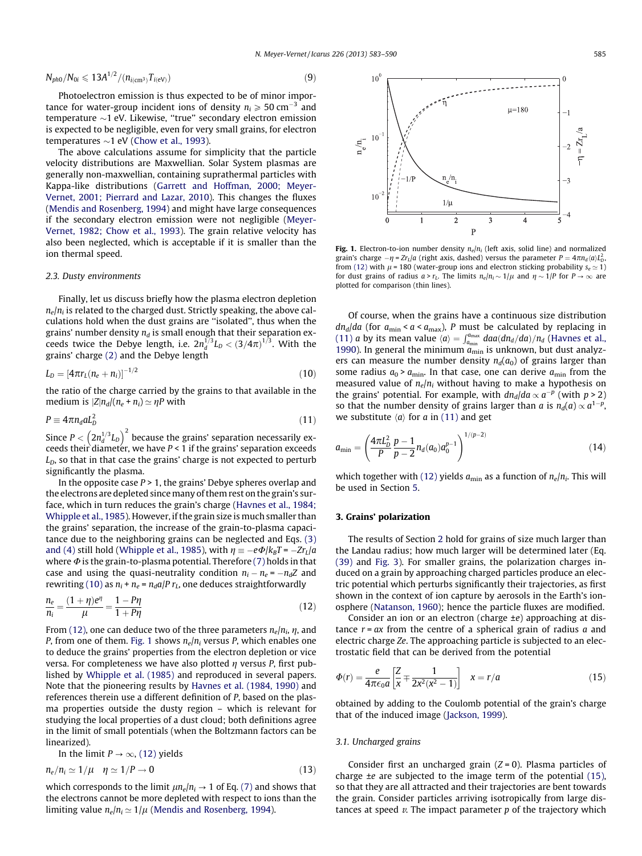<span id="page-2-0"></span>
$$
N_{ph0}/N_{0i} \leqslant 13A^{1/2}/(n_{i(\text{cm}^3)}T_{i(\text{eV})})
$$
\n(9)

Photoelectron emission is thus expected to be of minor importance for water-group incident ions of density  $n_i \geqslant 50$  cm<sup>-3</sup> and temperature -1 eV. Likewise, ''true'' secondary electron emission is expected to be negligible, even for very small grains, for electron temperatures  ${\sim}1$  eV [\(Chow et al., 1993\)](#page-6-0).

The above calculations assume for simplicity that the particle velocity distributions are Maxwellian. Solar System plasmas are generally non-maxwellian, containing suprathermal particles with Kappa-like distributions ([Garrett and Hoffman, 2000; Meyer-](#page-6-0)[Vernet, 2001; Pierrard and Lazar, 2010](#page-6-0)). This changes the fluxes ([Mendis and Rosenberg, 1994](#page-6-0)) and might have large consequences if the secondary electron emission were not negligible [\(Meyer-](#page-6-0)[Vernet, 1982; Chow et al., 1993](#page-6-0)). The grain relative velocity has also been neglected, which is acceptable if it is smaller than the ion thermal speed.

#### 2.3. Dusty environments

Finally, let us discuss briefly how the plasma electron depletion  $n_e/n_i$  is related to the charged dust. Strictly speaking, the above calculations hold when the dust grains are ''isolated'', thus when the grains' number density  $n_d$  is small enough that their separation exceeds twice the Debye length, i.e.  $2n_d^{1/3}L_D < (3/4\pi)^{1/3}$ . With the grains' charge [\(2\)](#page-1-0) and the Debye length

$$
L_D = [4\pi r_L (n_e + n_i)]^{-1/2}
$$
 (10)

the ratio of the charge carried by the grains to that available in the medium is  $|Z|n_d/(n_e + n_i) \simeq \eta P$  with

$$
P \equiv 4\pi n_d a L_D^2 \tag{11}
$$

Since  $P < \left(2 n_d^{1/3} L_D\right)^2$  because the grains' separation necessarily exceeds their diameter, we have  $P < 1$  if the grains' separation exceeds  $L<sub>D</sub>$ , so that in that case the grains' charge is not expected to perturb significantly the plasma.

In the opposite case  $P > 1$ , the grains' Debye spheres overlap and the electrons are depleted since many of them rest on the grain's surface, which in turn reduces the grain's charge [\(Havnes et al., 1984;](#page-6-0) [Whipple et al., 1985](#page-6-0)). However, if the grain size is much smaller than the grains' separation, the increase of the grain-to-plasma capacitance due to the neighboring grains can be neglected and Eqs. [\(3\)](#page-1-0) [and \(4\)](#page-1-0) still hold ([Whipple et al., 1985\)](#page-7-0), with  $\eta \equiv -e\Phi/k_BT = -Zr_L/a$ where  $\Phi$  is the grain-to-plasma potential. Therefore [\(7\)](#page-1-0) holds in that case and using the quasi-neutrality condition  $n_i - n_e = -n_dZ$  and rewriting (10) as  $n_i + n_e = n_d a / P r_l$ , one deduces straightforwardly

$$
\frac{n_e}{n_i} = \frac{(1+\eta)e^{\eta}}{\mu} = \frac{1-P\eta}{1+P\eta}
$$
(12)

From (12), one can deduce two of the three parameters  $n_e/n_i$ ,  $\eta$ , and P, from one of them. Fig. 1 shows  $n_e/n_i$  versus P, which enables one to deduce the grains' properties from the electron depletion or vice versa. For completeness we have also plotted  $\eta$  versus P, first published by [Whipple et al. \(1985\)](#page-7-0) and reproduced in several papers. Note that the pioneering results by [Havnes et al. \(1984, 1990\)](#page-6-0) and references therein use a different definition of P, based on the plasma properties outside the dusty region – which is relevant for studying the local properties of a dust cloud; both definitions agree in the limit of small potentials (when the Boltzmann factors can be linearized).

In the limit 
$$
P \rightarrow \infty
$$
, (12) yields

$$
n_e/n_i \simeq 1/\mu \quad \eta \simeq 1/P \to 0 \tag{13}
$$

which corresponds to the limit  $\mu n_e/n_i \rightarrow 1$  of Eq. [\(7\)](#page-1-0) and shows that the electrons cannot be more depleted with respect to ions than the limiting value  $n_e/n_i \simeq 1/\mu$  ([Mendis and Rosenberg, 1994](#page-6-0)).



Fig. 1. Electron-to-ion number density  $n_e/n_i$  (left axis, solid line) and normalized grain's charge  $-\eta$  = Zr<sub>L</sub>/a (right axis, dashed) versus the parameter  $P = 4\pi n_d \langle a \rangle L_D^2$ from (12) with  $\mu$  = 180 (water-group ions and electron sticking probability  $s_e \approx 1$ ) for dust grains of radius  $a > r_L$ . The limits  $n_e/n_i \sim 1/\mu$  and  $\eta \sim 1/P$  for  $P \to \infty$  are plotted for comparison (thin lines).

Of course, when the grains have a continuous size distribution  $dn_d/da$  (for  $a_{\text{min}} < a < a_{\text{max}}$ ), P must be calculated by replacing in (11) a by its mean value  $\langle a \rangle = \int_{a_{\min}}^{a_{\max}} da a (dn_d/da)/n_d$  ([Havnes et al.,](#page-6-0) [1990](#page-6-0)). In general the minimum  $a_{\min}$  is unknown, but dust analyzers can measure the number density  $n_d(a_0)$  of grains larger than some radius  $a_0$  >  $a_{\text{min}}$ . In that case, one can derive  $a_{\text{min}}$  from the measured value of  $n_e/n_i$  without having to make a hypothesis on the grains' potential. For example, with  $dn_d/da \propto a^{-p}$  (with  $p > 2$ ) so that the number density of grains larger than  $a$  is  $n_d(a) \propto a^{1-p}$ , we substitute  $\langle a \rangle$  for a in (11) and get

$$
a_{\min} = \left(\frac{4\pi L_D^2}{P} \frac{p-1}{p-2} n_d(a_0) a_0^{p-1}\right)^{1/(p-2)} \tag{14}
$$

which together with (12) yields  $a_{\min}$  as a function of  $n_e/n_i$ . This will be used in Section [5.](#page-4-0)

#### 3. Grains' polarization

The results of Section [2](#page-1-0) hold for grains of size much larger than the Landau radius; how much larger will be determined later (Eq. [\(39\)](#page-4-0) and [Fig. 3\)](#page-4-0). For smaller grains, the polarization charges induced on a grain by approaching charged particles produce an electric potential which perturbs significantly their trajectories, as first shown in the context of ion capture by aerosols in the Earth's ionosphere [\(Natanson, 1960](#page-6-0)); hence the particle fluxes are modified.

Consider an ion or an electron (charge ±e) approaching at distance  $r = ax$  from the centre of a spherical grain of radius  $a$  and electric charge Ze. The approaching particle is subjected to an electrostatic field that can be derived from the potential

$$
\Phi(r) = \frac{e}{4\pi\epsilon_0 a} \left[ \frac{Z}{x} \mp \frac{1}{2x^2(x^2 - 1)} \right] \quad x = r/a \tag{15}
$$

obtained by adding to the Coulomb potential of the grain's charge that of the induced image ([Jackson, 1999](#page-6-0)).

#### 3.1. Uncharged grains

Consider first an uncharged grain  $(Z = 0)$ . Plasma particles of charge  $\pm e$  are subjected to the image term of the potential (15), so that they are all attracted and their trajectories are bent towards the grain. Consider particles arriving isotropically from large distances at speed  $v$ . The impact parameter  $p$  of the trajectory which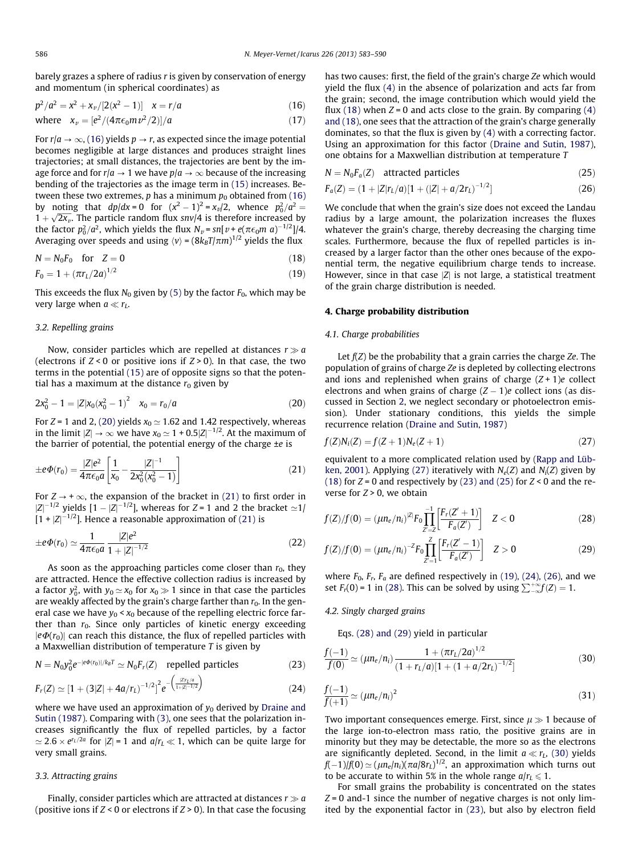<span id="page-3-0"></span>barely grazes a sphere of radius r is given by conservation of energy and momentum (in spherical coordinates) as

$$
p^2/a^2 = x^2 + x_\nu/[2(x^2 - 1)] \quad x = r/a \tag{16}
$$

where 
$$
x_v = [e^2/(4\pi\epsilon_0 m v^2/2)]/a
$$
 (17)

For  $r/a \rightarrow \infty$ , (16) yields  $p \rightarrow r$ , as expected since the image potential becomes negligible at large distances and produces straight lines trajectories; at small distances, the trajectories are bent by the image force and for  $r/a \rightarrow 1$  we have  $p/a \rightarrow \infty$  because of the increasing bending of the trajectories as the image term in [\(15\)](#page-2-0) increases. Between these two extremes,  $p$  has a minimum  $p_0$  obtained from (16) by noting that  $dp/dx = 0$  for  $(x^2 - 1)^2 = x_v/2$ , whence  $p_0^2/a^2 =$  $1 + \sqrt{2x_v}$ . The particle random flux snv/4 is therefore increased by the factor  $p_0^2/a^2$ , which yields the flux  $N_\nu$ = sn[ $\nu$  +  $e(\pi\epsilon_0m$  a)<sup>-1/2</sup>]/4. Averaging over speeds and using  $\langle v \rangle$  = (8 $k_{B}T/\pi m)^{1/2}$  yields the flux

$$
N = N_0 F_0 \quad \text{for} \quad Z = 0 \tag{18}
$$

$$
F_0 = 1 + (\pi r_L / 2a)^{1/2} \tag{19}
$$

This exceeds the flux  $N_0$  given by [\(5\)](#page-1-0) by the factor  $F_0$ , which may be very large when  $a \ll r_L$ .

#### 3.2. Repelling grains

Now, consider particles which are repelled at distances  $r \gg a$ (electrons if  $Z < 0$  or positive ions if  $Z > 0$ ). In that case, the two terms in the potential [\(15\)](#page-2-0) are of opposite signs so that the potential has a maximum at the distance  $r_0$  given by

$$
2x_0^2 - 1 = |Z|x_0(x_0^2 - 1)^2 \quad x_0 = r_0/a \tag{20}
$$

For  $Z = 1$  and 2, (20) yields  $x_0 \approx 1.62$  and 1.42 respectively, whereas in the limit  $|Z|\to \infty$  we have  $x_0\simeq 1$  + 0.5 $|Z|^{-1/2}$ . At the maximum of the barrier of potential, the potential energy of the charge  $\pm e$  is

$$
\pm e\Phi(r_0) = \frac{|Z|e^2}{4\pi\epsilon_0 a} \left[ \frac{1}{x_0} - \frac{|Z|^{-1}}{2x_0^2(x_0^2 - 1)} \right]
$$
(21)

For  $Z \rightarrow +\infty$ , the expansion of the bracket in (21) to first order in  $|Z|^{-1/2}$  yields  $[1 - |Z|^{-1/2}]$ , whereas for Z = 1 and 2 the bracket  $\simeq$ 1/  $[1 + |Z|^{-1/2}]$ . Hence a reasonable approximation of (21) is

$$
\pm e\Phi(r_0) \simeq \frac{1}{4\pi\epsilon_0 a} \frac{|Z|e^2}{1 + |Z|^{-1/2}}\tag{22}
$$

As soon as the approaching particles come closer than  $r_0$ , they are attracted. Hence the effective collection radius is increased by a factor  $y_0^2$ , with  $y_0 \simeq x_0$  for  $x_0 \gg 1$  since in that case the particles are weakly affected by the grain's charge farther than  $r_0$ . In the general case we have  $y_0 < x_0$  because of the repelling electric force farther than  $r_0$ . Since only particles of kinetic energy exceeding  $|e\Phi(r_0)|$  can reach this distance, the flux of repelled particles with a Maxwellian distribution of temperature T is given by

$$
N = N_0 y_0^2 e^{-|e\Phi(r_0)|/k_B T} \simeq N_0 F_r(Z) \quad \text{repelled particles} \tag{23}
$$

$$
F_r(Z) \simeq \left[1 + (3|Z| + 4a/r_L)^{-1/2}\right]^2 e^{-\left(\frac{|Z|r_L/a|}{1+|Z|^{-1/2}}\right)}
$$
(24)

where we have used an approximation of  $y_0$  derived by [Draine and](#page-6-0) [Sutin \(1987\)](#page-6-0). Comparing with [\(3\),](#page-1-0) one sees that the polarization increases significantly the flux of repelled particles, by a factor  $\approx 2.6 \times e^{r_L/2a}$  for  $|Z|=1$  and  $a/r_L \ll 1$ , which can be quite large for very small grains.

#### 3.3. Attracting grains

Finally, consider particles which are attracted at distances  $r \gg a$ (positive ions if  $Z < 0$  or electrons if  $Z > 0$ ). In that case the focusing

has two causes: first, the field of the grain's charge Ze which would yield the flux (4) in the absence of polarization and acts far from the grain; second, the image contribution which would yield the flux (18) when  $Z = 0$  and acts close to the grain. By comparing (4) and (18), one sees that the attraction of the grain's charge generally dominates, so that the flux is given by (4) with a correcting factor. Using an approximation for this factor [\(Draine and Sutin, 1987\)](#page-6-0), one obtains for a Maxwellian distribution at temperature T

$$
N = N_0 F_a(Z) \quad \text{attracted particles} \tag{25}
$$

$$
F_a(Z) = (1 + |Z|r_L/a)[1 + (|Z| + a/2r_L)^{-1/2}]
$$
\n(26)

We conclude that when the grain's size does not exceed the Landau radius by a large amount, the polarization increases the fluxes whatever the grain's charge, thereby decreasing the charging time scales. Furthermore, because the flux of repelled particles is increased by a larger factor than the other ones because of the exponential term, the negative equilibrium charge tends to increase. However, since in that case  $|Z|$  is not large, a statistical treatment of the grain charge distribution is needed.

#### 4. Charge probability distribution

#### 4.1. Charge probabilities

Let  $f(Z)$  be the probability that a grain carries the charge  $Ze$ . The population of grains of charge Ze is depleted by collecting electrons and ions and replenished when grains of charge  $(Z + 1)e$  collect electrons and when grains of charge  $(Z - 1)e$  collect ions (as discussed in Section [2](#page-1-0), we neglect secondary or photoelectron emission). Under stationary conditions, this yields the simple recurrence relation ([Draine and Sutin, 1987\)](#page-6-0)

$$
f(Z)N_i(Z) = f(Z+1)N_e(Z+1)
$$
\n(27)

equivalent to a more complicated relation used by ([Rapp and Lüb](#page-6-0)[ken, 2001\)](#page-6-0). Applying (27) iteratively with  $N_e(Z)$  and  $N_i(Z)$  given by (18) for  $Z = 0$  and respectively by (23) and (25) for  $Z < 0$  and the reverse for  $Z > 0$ , we obtain

$$
f(Z)/f(0) = (\mu n_e/n_i)^{|Z|} F_0 \prod_{Z'=Z}^{-1} \left[ \frac{F_r(Z'+1)}{F_a(Z')} \right] \quad Z < 0
$$
 (28)

$$
f(Z)/f(0) = (\mu n_e/n_i)^{-2} F_0 \prod_{Z'=1}^{Z} \left[ \frac{F_r(Z'-1)}{F_a(Z')} \right] \quad Z > 0
$$
 (29)

where  $F_0$ ,  $F_r$ ,  $F_a$  are defined respectively in (19), (24), (26), and we set  $F_r(0) = 1$  in (28). This can be solved by using  $\sum_{-\infty}^{+\infty} f(Z) = 1$ .

#### 4.2. Singly charged grains

Eqs. (28) and (29) yield in particular

$$
\frac{f(-1)}{f(0)} \simeq (\mu n_e/n_i) \frac{1 + (\pi r_L/2a)^{1/2}}{(1 + r_L/a)[1 + (1 + a/2r_L)^{-1/2}]}
$$
(30)

$$
\frac{f(-1)}{f(+1)} \simeq (\mu n_e/n_i)^2 \tag{31}
$$

Two important consequences emerge. First, since  $\mu \gg 1$  because of the large ion-to-electron mass ratio, the positive grains are in minority but they may be detectable, the more so as the electrons are significantly depleted. Second, in the limit  $a \ll r_L$ , (30) yields  $\mathit{f}(-1)$ / $\mathit{f}(0)$   $\simeq$  (  $\mu n_{e}/n_{i}$ )(  $\pi a/8r_{L})^{1/2}$ , an approximation which turns out to be accurate to within 5% in the whole range  $a/r_L \leq 1$ .

For small grains the probability is concentrated on the states  $Z = 0$  and-1 since the number of negative charges is not only limited by the exponential factor in (23), but also by electron field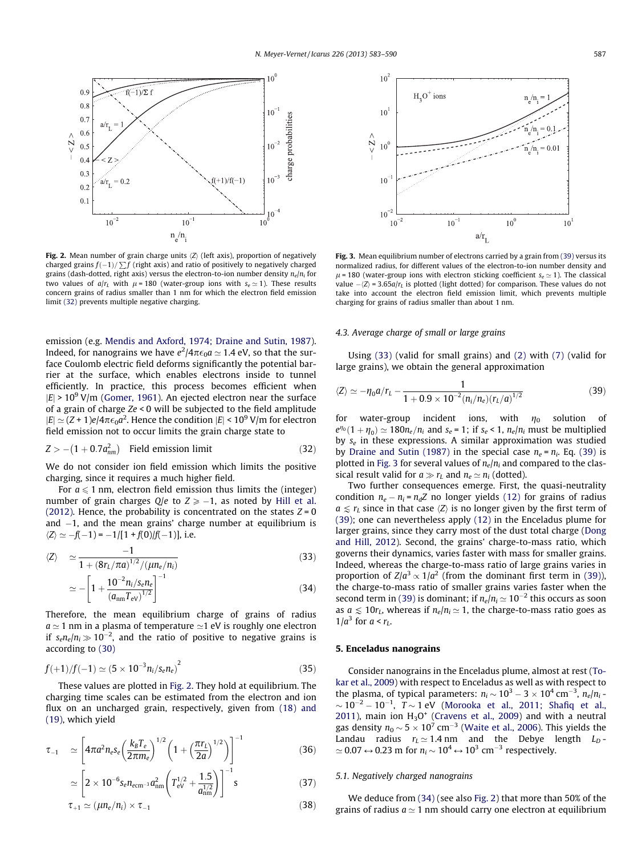<span id="page-4-0"></span>

Fig. 2. Mean number of grain charge units  $\langle Z \rangle$  (left axis), proportion of negatively charged grains  $f(-1)/\sum f$  (right axis) and ratio of positively to negatively charged grains (dash-dotted, right axis) versus the electron-to-ion number density  $n_e/n_i$  for two values of  $a/r_L$  with  $\mu$  = 180 (water-group ions with  $s_e \approx 1$ ). These results concern grains of radius smaller than 1 nm for which the electron field emission limit (32) prevents multiple negative charging.

emission (e.g. [Mendis and Axford, 1974; Draine and Sutin, 1987\)](#page-6-0). Indeed, for nanograins we have  $e^2/4\pi\epsilon_0 a\simeq$  1.4 eV, so that the surface Coulomb electric field deforms significantly the potential barrier at the surface, which enables electrons inside to tunnel efficiently. In practice, this process becomes efficient when  $|E|$  > 10<sup>9</sup> V/m ([Gomer, 1961](#page-6-0)). An ejected electron near the surface of a grain of charge Ze < 0 will be subjected to the field amplitude  $|E| \simeq (Z + 1)e/4\pi\epsilon_0 a^2$ . Hence the condition  $|E| \leq 10^9$  V/m for electron field emission not to occur limits the grain charge state to

$$
Z > -(1 + 0.7anm2)
$$
 Field emission limit (32)

We do not consider ion field emission which limits the positive charging, since it requires a much higher field.

For  $a \leq 1$  nm, electron field emission thus limits the (integer) number of grain charges  $Q/e$  to  $Z \ge -1$ , as noted by [Hill et al.](#page-6-0) [\(2012\).](#page-6-0) Hence, the probability is concentrated on the states  $Z = 0$ and  $-1$ , and the mean grains' charge number at equilibrium is  $\langle Z \rangle \simeq -f(-1) = -1/[1 + f(0)/f(-1)],$  i.e.

$$
\langle Z \rangle \simeq \frac{-1}{1 + (8r_L/\pi a)^{1/2}/(\mu n_e/n_i)} \tag{33}
$$

$$
\simeq -\left[1+\frac{10^{-2}n_{i}/s_{e}n_{e}}{(a_{\rm nm}T_{\rm ev})^{1/2}}\right]^{-1}
$$
\n(34)

Therefore, the mean equilibrium charge of grains of radius  $a \approx 1$  nm in a plasma of temperature  $\approx 1$  eV is roughly one electron if  $s_{e}n_{e}/n_{i} \gg 10^{-2}$ , and the ratio of positive to negative grains is according to [\(30\)](#page-3-0)

$$
f(+1)/f(-1) \simeq (5 \times 10^{-3} n_i/s_e n_e)^2 \tag{35}
$$

These values are plotted in Fig. 2. They hold at equilibrium. The charging time scales can be estimated from the electron and ion flux on an uncharged grain, respectively, given from (18) and (19), which yield

$$
\tau_{-1} \quad \simeq \left[ 4\pi a^2 n_e s_e \left( \frac{k_B T_e}{2\pi m_e} \right)^{1/2} \left( 1 + \left( \frac{\pi r_L}{2a} \right)^{1/2} \right) \right]^{-1} \tag{36}
$$

$$
\simeq \left[2 \times 10^{-6} s_e n_{\text{ecm}^{-3}} a_{\text{nm}}^2 \left(T_{\text{eV}}^{1/2} + \frac{1.5}{a_{\text{nm}}^{1/2}}\right)\right]^{-1} s \tag{37}
$$

$$
\tau_{+1} \simeq (\mu n_e/n_i) \times \tau_{-1} \tag{38}
$$



Fig. 3. Mean equilibrium number of electrons carried by a grain from (39) versus its normalized radius, for different values of the electron-to-ion number density and  $\mu$  = 180 (water-group ions with electron sticking coefficient  $s_e \approx 1$ ). The classical value  $-\langle Z \rangle$  = 3.65a/ $r<sub>L</sub>$  is plotted (light dotted) for comparison. These values do not take into account the electron field emission limit, which prevents multiple charging for grains of radius smaller than about 1 nm.

### 4.3. Average charge of small or large grains

Using (33) (valid for small grains) and [\(2\)](#page-1-0) with [\(7\)](#page-1-0) (valid for large grains), we obtain the general approximation

$$
\langle Z \rangle \simeq -\eta_0 a/r_L - \frac{1}{1 + 0.9 \times 10^{-2} (n_i/n_e) (r_L/a)^{1/2}} \tag{39}
$$

for water-group incident ions, with  $\eta_0$  solution of  $e^{\eta_0}(1+\eta_0) \simeq 180n_e/n_i$  and  $s_e = 1$ ; if  $s_e < 1$ ,  $n_e/n_i$  must be multiplied by  $s_e$  in these expressions. A similar approximation was studied by [Draine and Sutin \(1987\)](#page-6-0) in the special case  $n_e = n_i$ . Eq. (39) is plotted in Fig. 3 for several values of  $n_e/n_i$  and compared to the classical result valid for  $a \gg r_L$  and  $n_e \simeq n_i$  (dotted).

Two further consequences emerge. First, the quasi-neutrality condition  $n_e - n_i = n_dZ$  no longer yields [\(12\)](#page-2-0) for grains of radius  $a \leq r_L$  since in that case  $\langle Z \rangle$  is no longer given by the first term of (39); one can nevertheless apply [\(12\)](#page-2-0) in the Enceladus plume for larger grains, since they carry most of the dust total charge ([Dong](#page-6-0) [and Hill, 2012\)](#page-6-0). Second, the grains' charge-to-mass ratio, which governs their dynamics, varies faster with mass for smaller grains. Indeed, whereas the charge-to-mass ratio of large grains varies in proportion of  $Z/a^3 \propto 1/a^2$  (from the dominant first term in (39)), the charge-to-mass ratio of smaller grains varies faster when the second term in (39) is dominant; if  $n_e/n_i \approx 10^{-2}$  this occurs as soon as  $a \leq 10r_L$ , whereas if  $n_e/n_i \approx 1$ , the charge-to-mass ratio goes as  $1/a^3$  for  $a < r_L$ .

#### 5. Enceladus nanograins

Consider nanograins in the Enceladus plume, almost at rest [\(To](#page-7-0)[kar et al., 2009](#page-7-0)) with respect to Enceladus as well as with respect to the plasma, of typical parameters:  $n_i \sim 10^3 - 3 \times 10^4\,\rm cm^{-3},$   $n_e/n_i$  - $\sim$  10 $^{-2}$  – 10 $^{-1}$ ,  $\it{T}$   $\sim$  1 eV ([Morooka et al., 2011; Shafiq et al.,](#page-6-0) [2011](#page-6-0)), main ion  $H_3O^+$  ([Cravens et al., 2009](#page-6-0)) and with a neutral gas density  $n_0\,{\sim}\,5\times 10^7$  cm $^{-3}$  [\(Waite et al., 2006\)](#page-7-0). This yields the Landau radius  $r_I \simeq 1.4$  nm and the Debye length  $L_D$ - $\simeq$  0.07  $\leftrightarrow$  0.23 m for  $n_i$   $\sim$  10<sup>4</sup>  $\leftrightarrow$  10<sup>3</sup> cm<sup>-3</sup> respectively.

#### 5.1. Negatively charged nanograins

We deduce from (34) (see also Fig. 2) that more than 50% of the grains of radius  $a \approx 1$  nm should carry one electron at equilibrium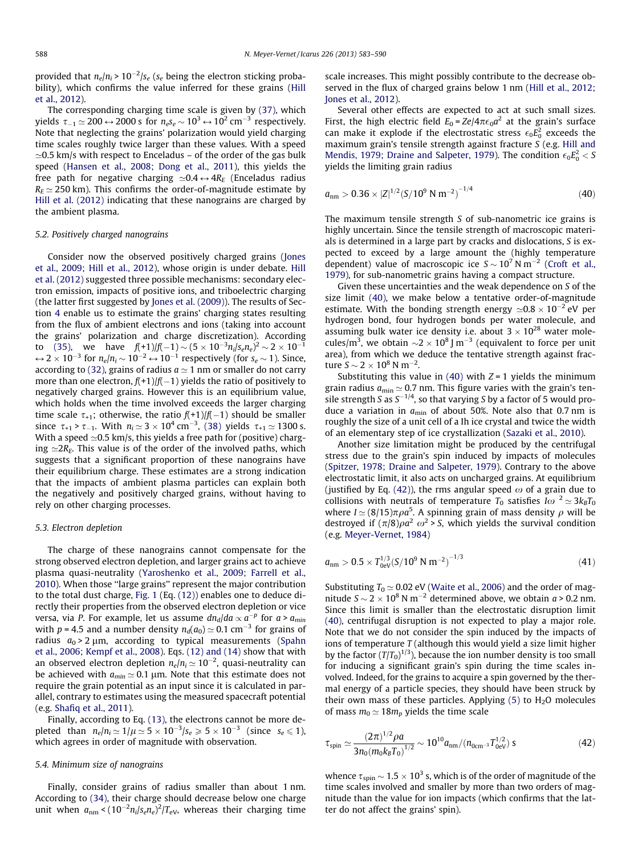provided that  $n_e/n_i$  > 10 $^{-2}/s_e$  ( $s_e$  being the electron sticking probability), which confirms the value inferred for these grains [\(Hill](#page-6-0) [et al., 2012\)](#page-6-0).

The corresponding charging time scale is given by (37), which yields  $\tau_{-1}$   $\simeq$  200  $\leftrightarrow$  2000 s for  $n_e s_e$   $\sim$  10<sup>3</sup>  $\leftrightarrow$  10<sup>2</sup> cm<sup>-3</sup> respectively. Note that neglecting the grains' polarization would yield charging time scales roughly twice larger than these values. With a speed  $\approx$ 0.5 km/s with respect to Enceladus – of the order of the gas bulk speed [\(Hansen et al., 2008; Dong et al., 2011](#page-6-0)), this yields the free path for negative charging  $\simeq 0.4 \leftrightarrow 4R_E$  (Enceladus radius  $R_E \simeq 250$  km). This confirms the order-of-magnitude estimate by [Hill et al. \(2012\)](#page-6-0) indicating that these nanograins are charged by the ambient plasma.

#### 5.2. Positively charged nanograins

Consider now the observed positively charged grains ([Jones](#page-6-0) [et al., 2009; Hill et al., 2012\)](#page-6-0), whose origin is under debate. [Hill](#page-6-0) [et al. \(2012\)](#page-6-0) suggested three possible mechanisms: secondary electron emission, impacts of positive ions, and triboelectric charging (the latter first suggested by [Jones et al. \(2009\)](#page-6-0)). The results of Section [4](#page-3-0) enable us to estimate the grains' charging states resulting from the flux of ambient electrons and ions (taking into account the grains' polarization and charge discretization). According to [\(35\),](#page-4-0) we have  $f(+1)/f(-1) \sim (5 \times 10^{-3} n_i/s_e n_e)^2 \sim 2 \times 10^{-1}$  $\leftrightarrow$  2  $\times$  10<sup>-3</sup> for  $n_e/n_i$   $\sim$  10<sup>-2</sup>  $\leftrightarrow$  10<sup>-1</sup> respectively (for s<sub>e</sub>  $\sim$  1). Since, according to [\(32\)](#page-4-0), grains of radius  $a \approx 1$  nm or smaller do not carry more than one electron,  $f(+1)/f(-1)$  yields the ratio of positively to negatively charged grains. However this is an equilibrium value, which holds when the time involved exceeds the larger charging time scale  $\tau_{+1}$ ; otherwise, the ratio  $f(+1)/f(-1)$  should be smaller since  $\tau_{+1} > \tau_{-1}$ . With  $n_i \approx 3 \times 10^4 \text{ cm}^{-3}$ , (38) yields  $\tau_{+1} \approx 1300 \text{ s}$ . With a speed  $\simeq$  0.5 km/s, this yields a free path for (positive) charging  $\simeq 2R_E$ . This value is of the order of the involved paths, which suggests that a significant proportion of these nanograins have their equilibrium charge. These estimates are a strong indication that the impacts of ambient plasma particles can explain both the negatively and positively charged grains, without having to rely on other charging processes.

#### 5.3. Electron depletion

The charge of these nanograins cannot compensate for the strong observed electron depletion, and larger grains act to achieve plasma quasi-neutrality [\(Yaroshenko et al., 2009; Farrell et al.,](#page-7-0) [2010\)](#page-7-0). When those ''large grains'' represent the major contribution to the total dust charge, [Fig. 1](#page-2-0) (Eq. [\(12\)\)](#page-2-0) enables one to deduce directly their properties from the observed electron depletion or vice versa, via P. For example, let us assume  $dn_d/da \propto a^{-p}$  for  $a > a_{min}$ with p = 4.5 and a number density  $n_d(a_0) \approx 0.1$  cm<sup>-3</sup> for grains of radius  $a_0 > 2 \mu m$ , according to typical measurements ([Spahn](#page-6-0) [et al., 2006; Kempf et al., 2008\)](#page-6-0). Eqs. [\(12\) and \(14\)](#page-2-0) show that with an observed electron depletion  $n_e/n_i$   $\simeq$  10 $^{-2}$ , quasi-neutrality can be achieved with  $a_{min} \approx 0.1 \, \mu \text{m}$ . Note that this estimate does not require the grain potential as an input since it is calculated in parallel, contrary to estimates using the measured spacecraft potential (e.g. [Shafiq et al., 2011](#page-6-0)).

Finally, according to Eq. [\(13\),](#page-2-0) the electrons cannot be more depleted than  $n_e/n_i \simeq 1/\mu \simeq 5 \times 10^{-3}/s_e \geqslant 5 \times 10^{-3}$  (since  $s_e \leqslant 1$ ), which agrees in order of magnitude with observation.

## 5.4. Minimum size of nanograins

Finally, consider grains of radius smaller than about 1 nm. According to (34), their charge should decrease below one charge unit when  $a_{\text{nm}} < (10^{-2} n_i/s_e n_e)^2/T_{\text{eV}}$ , whereas their charging time

scale increases. This might possibly contribute to the decrease observed in the flux of charged grains below 1 nm [\(Hill et al., 2012;](#page-6-0) [Jones et al., 2012\)](#page-6-0).

Several other effects are expected to act at such small sizes. First, the high electric field  $E_0 = Ze/4\pi\epsilon_0 a^2$  at the grain's surface can make it explode if the electrostatic stress  $\epsilon_0 E_0^2$  exceeds the maximum grain's tensile strength against fracture  $S$  (e.g. [Hill and](#page-6-0) [Mendis, 1979; Draine and Salpeter, 1979\)](#page-6-0). The condition  $\epsilon_0 E_0^2 < S$ yields the limiting grain radius

$$
a_{nm} > 0.36 \times |Z|^{1/2} (S/10^9 \text{ N m}^{-2})^{-1/4}
$$
 (40)

The maximum tensile strength S of sub-nanometric ice grains is highly uncertain. Since the tensile strength of macroscopic materials is determined in a large part by cracks and dislocations, S is expected to exceed by a large amount the (highly temperature dependent) value of macroscopic ice  $S \sim 10^7$  N m<sup>-2</sup> ([Croft et al.,](#page-6-0) [1979](#page-6-0)), for sub-nanometric grains having a compact structure.

Given these uncertainties and the weak dependence on S of the size limit (40), we make below a tentative order-of-magnitude estimate. With the bonding strength energy  $\simeq 0.8 \times 10^{-2}$  eV per hydrogen bond, four hydrogen bonds per water molecule, and assuming bulk water ice density i.e. about  $3 \times 10^{28}$  water molecules/m<sup>3</sup>, we obtain  $\sim$ 2  $\times$  10<sup>8</sup> J m<sup>-3</sup> (equivalent to force per unit area), from which we deduce the tentative strength against fracture  $S \sim 2 \times 10^8$  N m<sup>-2</sup>.

Substituting this value in (40) with  $Z = 1$  yields the minimum grain radius  $a_{\min} \simeq 0.7$  nm. This figure varies with the grain's tensile strength S as  $S^{-1/4}$ , so that varying S by a factor of 5 would produce a variation in  $a_{\min}$  of about 50%. Note also that 0.7 nm is roughly the size of a unit cell of a Ih ice crystal and twice the width of an elementary step of ice crystallization [\(Sazaki et al., 2010\)](#page-6-0).

Another size limitation might be produced by the centrifugal stress due to the grain's spin induced by impacts of molecules ([Spitzer, 1978; Draine and Salpeter, 1979\)](#page-6-0). Contrary to the above electrostatic limit, it also acts on uncharged grains. At equilibrium (justified by Eq. (42)), the rms angular speed  $\omega$  of a grain due to collisions with neutrals of temperature  $T_0$  satisfies  $I\omega^2 \simeq 3k_BT_0$ where  $I \simeq (8/15)\pi \rho a^5$ . A spinning grain of mass density  $\rho$  will be destroyed if  $(\pi/8)\rho a^2 \omega^2$  > S, which yields the survival condition (e.g. [Meyer-Vernet, 1984](#page-6-0))

$$
a_{nm} > 0.5 \times T_{0eV}^{1/3} (S/10^9 \text{ N m}^{-2})^{-1/3}
$$
 (41)

Substituting  $T_0 \simeq 0.02$  eV [\(Waite et al., 2006\)](#page-7-0) and the order of magnitude  $S \sim 2 \times 10^8$  N m<sup>-2</sup> determined above, we obtain *a* > 0.2 nm. Since this limit is smaller than the electrostatic disruption limit (40), centrifugal disruption is not expected to play a major role. Note that we do not consider the spin induced by the impacts of ions of temperature  $T$  (although this would yield a size limit higher by the factor  $(T/T_0)^{1/3}$ ), because the ion number density is too small for inducing a significant grain's spin during the time scales involved. Indeed, for the grains to acquire a spin governed by the thermal energy of a particle species, they should have been struck by their own mass of these particles. Applying  $(5)$  to  $H<sub>2</sub>O$  molecules of mass  $m_0 \simeq 18m_p$  yields the time scale

$$
\tau_{\rm spin} \simeq \frac{(2\pi)^{1/2} \rho a}{3n_0 (m_0 k_B T_0)^{1/2}} \sim 10^{10} a_{\rm nm} / (n_{\rm 0cm^{-3}} T_{\rm 0eV}^{1/2}) \, \text{s} \tag{42}
$$

whence  $\tau_{\rm spin}$   $\sim$  1.5  $\times$  10<sup>3</sup> s, which is of the order of magnitude of the time scales involved and smaller by more than two orders of magnitude than the value for ion impacts (which confirms that the latter do not affect the grains' spin).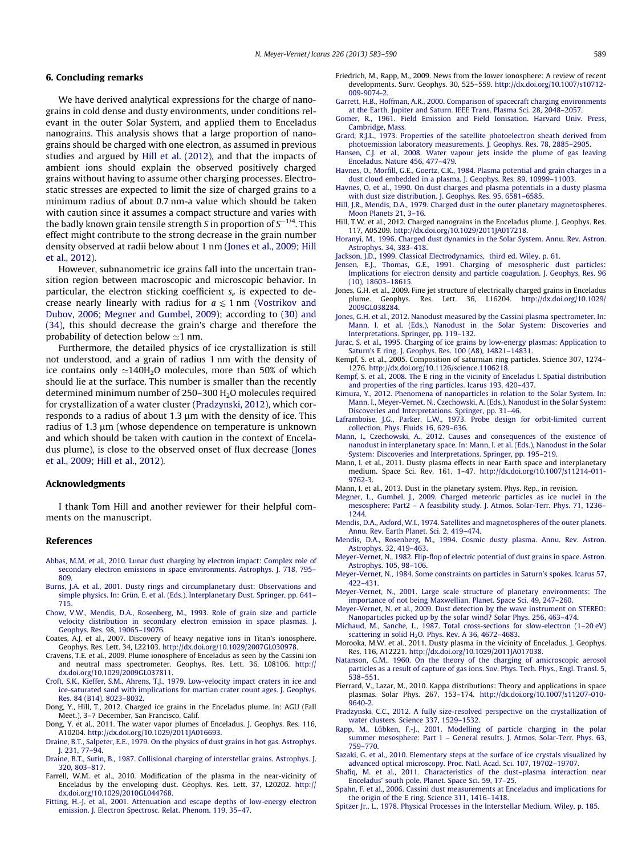## <span id="page-6-0"></span>6. Concluding remarks

We have derived analytical expressions for the charge of nanograins in cold dense and dusty environments, under conditions relevant in the outer Solar System, and applied them to Enceladus nanograins. This analysis shows that a large proportion of nanograins should be charged with one electron, as assumed in previous studies and argued by Hill et al. (2012), and that the impacts of ambient ions should explain the observed positively charged grains without having to assume other charging processes. Electrostatic stresses are expected to limit the size of charged grains to a minimum radius of about 0.7 nm-a value which should be taken with caution since it assumes a compact structure and varies with the badly known grain tensile strength S in proportion of  $S^{-1/4}$ . This effect might contribute to the strong decrease in the grain number density observed at radii below about 1 nm (Jones et al., 2009; Hill et al., 2012).

However, subnanometric ice grains fall into the uncertain transition region between macroscopic and microscopic behavior. In particular, the electron sticking coefficient  $s_e$  is expected to decrease nearly linearly with radius for  $a \le 1$  nm [\(Vostrikov and](#page-7-0) [Dubov, 2006; Megner and Gumbel, 2009\)](#page-7-0); according to [\(30\) and](#page-3-0) [\(34\)](#page-3-0), this should decrease the grain's charge and therefore the probability of detection below  $\simeq$ 1 nm.

Furthermore, the detailed physics of ice crystallization is still not understood, and a grain of radius 1 nm with the density of ice contains only  $\simeq$ 140H<sub>2</sub>O molecules, more than 50% of which should lie at the surface. This number is smaller than the recently determined minimum number of  $250-300$  H<sub>2</sub>O molecules required for crystallization of a water cluster (Pradzynski, 2012), which corresponds to a radius of about 1.3  $\mu$ m with the density of ice. This radius of 1.3  $\mu$ m (whose dependence on temperature is unknown and which should be taken with caution in the context of Enceladus plume), is close to the observed onset of flux decrease (Jones et al., 2009; Hill et al., 2012).

#### Acknowledgments

I thank Tom Hill and another reviewer for their helpful comments on the manuscript.

#### References

- [Abbas, M.M. et al., 2010. Lunar dust charging by electron impact: Complex role of](http://refhub.elsevier.com/S0019-1035(13)00270-4/h0005) [secondary electron emissions in space environments. Astrophys. J. 718, 795–](http://refhub.elsevier.com/S0019-1035(13)00270-4/h0005) [809.](http://refhub.elsevier.com/S0019-1035(13)00270-4/h0005)
- [Burns, J.A. et al., 2001. Dusty rings and circumplanetary dust: Observations and](http://refhub.elsevier.com/S0019-1035(13)00270-4/h0010) [simple physics. In: Grün, E. et al. \(Eds.\), Interplanetary Dust. Springer, pp. 641–](http://refhub.elsevier.com/S0019-1035(13)00270-4/h0010) [715.](http://refhub.elsevier.com/S0019-1035(13)00270-4/h0010)
- [Chow, V.W., Mendis, D.A., Rosenberg, M., 1993. Role of grain size and particle](http://refhub.elsevier.com/S0019-1035(13)00270-4/h0015) [velocity distribution in secondary electron emission in space plasmas. J.](http://refhub.elsevier.com/S0019-1035(13)00270-4/h0015) [Geophys. Res. 98, 19065–19076](http://refhub.elsevier.com/S0019-1035(13)00270-4/h0015).
- Coates, A.J. et al., 2007. Discovery of heavy negative ions in Titan's ionosphere. Geophys. Res. Lett. 34, L22103. <http://dx.doi.org/10.1029/2007GL030978>.
- Cravens, T.E. et al., 2009. Plume ionosphere of Enceladus as seen by the Cassini ion and neutral mass spectrometer. Geophys. Res. Lett. 36, L08106. [http://](http://dx.doi.org/10.1029/2009GL037811) [dx.doi.org/10.1029/2009GL037811](http://dx.doi.org/10.1029/2009GL037811).
- [Croft, S.K., Kieffer, S.M., Ahrens, T.J., 1979. Low-velocity impact craters in ice and](http://refhub.elsevier.com/S0019-1035(13)00270-4/h0030) [ice-saturated sand with implications for martian crater count ages. J. Geophys.](http://refhub.elsevier.com/S0019-1035(13)00270-4/h0030) [Res. 84 \(B14\), 8023–8032.](http://refhub.elsevier.com/S0019-1035(13)00270-4/h0030)
- Dong, Y., Hill, T., 2012. Charged ice grains in the Enceladus plume. In: AGU (Fall Meet.), 3–7 December, San Francisco, Calif.
- Dong, Y. et al., 2011. The water vapor plumes of Enceladus. J. Geophys. Res. 116, A10204. [http://dx.doi.org/10.1029/2011JA016693.](http://dx.doi.org/10.1029/2011JA016693)
- [Draine, B.T., Salpeter, E.E., 1979. On the physics of dust grains in hot gas. Astrophys.](http://refhub.elsevier.com/S0019-1035(13)00270-4/h0040) [J. 231, 77–94](http://refhub.elsevier.com/S0019-1035(13)00270-4/h0040).
- [Draine, B.T., Sutin, B., 1987. Collisional charging of interstellar grains. Astrophys. J.](http://refhub.elsevier.com/S0019-1035(13)00270-4/h0045) [320, 803–817](http://refhub.elsevier.com/S0019-1035(13)00270-4/h0045).
- Farrell, W.M. et al., 2010. Modification of the plasma in the near-vicinity of Enceladus by the enveloping dust. Geophys. Res. Lett. 37, L20202. [http://](http://dx.doi.org/10.1029/2010GL044768) [dx.doi.org/10.1029/2010GL044768](http://dx.doi.org/10.1029/2010GL044768).
- [Fitting, H.-J. et al., 2001. Attenuation and escape depths of low-energy electron](http://refhub.elsevier.com/S0019-1035(13)00270-4/h0055) [emission. J. Electron Spectrosc. Relat. Phenom. 119, 35–47.](http://refhub.elsevier.com/S0019-1035(13)00270-4/h0055)
- Friedrich, M., Rapp, M., 2009. News from the lower ionosphere: A review of recent developments. Surv. Geophys. 30, 525–559. [http://dx.doi.org/10.1007/s10712-](http://dx.doi.org/10.1007/s10712-009-9074-2) [009-9074-2](http://dx.doi.org/10.1007/s10712-009-9074-2).
- [Garrett, H.B., Hoffman, A.R., 2000. Comparison of spacecraft charging environments](http://refhub.elsevier.com/S0019-1035(13)00270-4/h0065) [at the Earth, Jupiter and Saturn. IEEE Trans. Plasma Sci. 28, 2048–2057](http://refhub.elsevier.com/S0019-1035(13)00270-4/h0065).
- [Gomer, R., 1961. Field Emission and Field Ionisation. Harvard Univ. Press,](http://refhub.elsevier.com/S0019-1035(13)00270-4/h0070) [Cambridge, Mass](http://refhub.elsevier.com/S0019-1035(13)00270-4/h0070).
- [Grard, R.J.L., 1973. Properties of the satellite photoelectron sheath derived from](http://refhub.elsevier.com/S0019-1035(13)00270-4/h0075) [photoemission laboratory measurements. J. Geophys. Res. 78, 2885–2905](http://refhub.elsevier.com/S0019-1035(13)00270-4/h0075).
- [Hansen, C.J. et al., 2008. Water vapour jets inside the plume of gas leaving](http://refhub.elsevier.com/S0019-1035(13)00270-4/h0080) [Enceladus. Nature 456, 477–479](http://refhub.elsevier.com/S0019-1035(13)00270-4/h0080).
- [Havnes, O., Morfill, G.E., Goertz, C.K., 1984. Plasma potential and grain charges in a](http://refhub.elsevier.com/S0019-1035(13)00270-4/h0085) [dust cloud embedded in a plasma. J. Geophys. Res. 89, 10999–11003](http://refhub.elsevier.com/S0019-1035(13)00270-4/h0085). [Havnes, O. et al., 1990. On dust charges and plasma potentials in a dusty plasma](http://refhub.elsevier.com/S0019-1035(13)00270-4/h0090)
- [with dust size distribution. J. Geophys. Res. 95, 6581–6585](http://refhub.elsevier.com/S0019-1035(13)00270-4/h0090).
- [Hill, J.R., Mendis, D.A., 1979. Charged dust in the outer planetary magnetospheres.](http://refhub.elsevier.com/S0019-1035(13)00270-4/h0095) [Moon Planets 21, 3–16.](http://refhub.elsevier.com/S0019-1035(13)00270-4/h0095)
- Hill, T.W. et al., 2012. Charged nanograins in the Enceladus plume. J. Geophys. Res. 117, A05209. [http://dx.doi.org/10.1029/2011JA017218.](http://dx.doi.org/10.1029/2011JA017218)
- [Horanyi, M., 1996. Charged dust dynamics in the Solar System. Annu. Rev. Astron.](http://refhub.elsevier.com/S0019-1035(13)00270-4/h0105) [Astrophys. 34, 383–418.](http://refhub.elsevier.com/S0019-1035(13)00270-4/h0105)
- [Jackson, J.D., 1999. Classical Electrodynamics, third ed. Wiley, p. 61.](http://refhub.elsevier.com/S0019-1035(13)00270-4/h0110)
- [Jensen, E.J., Thomas, G.E., 1991. Charging of mesospheric dust particles:](http://refhub.elsevier.com/S0019-1035(13)00270-4/h0115) [Implications for electron density and particle coagulation. J. Geophys. Res. 96](http://refhub.elsevier.com/S0019-1035(13)00270-4/h0115) [\(10\), 18603–18615](http://refhub.elsevier.com/S0019-1035(13)00270-4/h0115).
- Jones, G.H. et al., 2009. Fine jet structure of electrically charged grains in Enceladus plume. Geophys. Res. Lett. 36, L16204. [http://dx.doi.org/10.1029/](http://dx.doi.org/10.1029/2009GL038284) [2009GL038284](http://dx.doi.org/10.1029/2009GL038284).
- [Jones, G.H. et al., 2012. Nanodust measured by the Cassini plasma spectrometer. In:](http://refhub.elsevier.com/S0019-1035(13)00270-4/h0125) [Mann, I. et al. \(Eds.\), Nanodust in the Solar System: Discoveries and](http://refhub.elsevier.com/S0019-1035(13)00270-4/h0125) [Interpretations. Springer, pp. 119–132.](http://refhub.elsevier.com/S0019-1035(13)00270-4/h0125)
- [Jurac, S. et al., 1995. Charging of ice grains by low-energy plasmas: Application to](http://refhub.elsevier.com/S0019-1035(13)00270-4/h0130) [Saturn's E ring. J. Geophys. Res. 100 \(A8\), 14821–14831](http://refhub.elsevier.com/S0019-1035(13)00270-4/h0130).
- Kempf, S. et al., 2005. Composition of saturnian ring particles. Science 307, 1274– 1276. <http://dx.doi.org/10.1126/science.1106218>.
- [Kempf, S. et al., 2008. The E ring in the vicinity of Enceladus I. Spatial distribution](http://refhub.elsevier.com/S0019-1035(13)00270-4/h0140) [and properties of the ring particles. Icarus 193, 420–437.](http://refhub.elsevier.com/S0019-1035(13)00270-4/h0140)
- [Kimura, Y., 2012. Phenomena of nanoparticles in relation to the Solar System. In:](http://refhub.elsevier.com/S0019-1035(13)00270-4/h0145) [Mann, I., Meyer-Vernet, N., Czechowski, A. \(Eds.\), Nanodust in the Solar System:](http://refhub.elsevier.com/S0019-1035(13)00270-4/h0145) [Discoveries and Interpretations. Springer, pp. 31–46](http://refhub.elsevier.com/S0019-1035(13)00270-4/h0145).
- [Laframboise, J.G., Parker, L.W., 1973. Probe design for orbit-limited current](http://refhub.elsevier.com/S0019-1035(13)00270-4/h0150) [collection. Phys. Fluids 16, 629–636.](http://refhub.elsevier.com/S0019-1035(13)00270-4/h0150)
- [Mann, I., Czechowski, A., 2012. Causes and consequences of the existence of](http://refhub.elsevier.com/S0019-1035(13)00270-4/h0155) [nanodust in interplanetary space. In: Mann, I. et al. \(Eds.\), Nanodust in the Solar](http://refhub.elsevier.com/S0019-1035(13)00270-4/h0155) [System: Discoveries and Interpretations. Springer, pp. 195–219](http://refhub.elsevier.com/S0019-1035(13)00270-4/h0155).
- Mann, I. et al., 2011. Dusty plasma effects in near Earth space and interplanetary medium. Space Sci. Rev. 161, 1–47. [http://dx.doi.org/10.1007/s11214-011-](http://dx.doi.org/10.1007/s11214-011-9762-3) [9762-3](http://dx.doi.org/10.1007/s11214-011-9762-3).
- Mann, I. et al., 2013. Dust in the planetary system. Phys. Rep., in revision.
- [Megner, L., Gumbel, J., 2009. Charged meteoric particles as ice nuclei in the](http://refhub.elsevier.com/S0019-1035(13)00270-4/h0165) [mesosphere: Part2 – A feasibility study. J. Atmos. Solar-Terr. Phys. 71, 1236–](http://refhub.elsevier.com/S0019-1035(13)00270-4/h0165) [1244.](http://refhub.elsevier.com/S0019-1035(13)00270-4/h0165)
- [Mendis, D.A., Axford, W.I., 1974. Satellites and magnetospheres of the outer planets.](http://refhub.elsevier.com/S0019-1035(13)00270-4/h0170) [Annu. Rev. Earth Planet. Sci. 2, 419–474](http://refhub.elsevier.com/S0019-1035(13)00270-4/h0170).
- [Mendis, D.A., Rosenberg, M., 1994. Cosmic dusty plasma. Annu. Rev. Astron.](http://refhub.elsevier.com/S0019-1035(13)00270-4/h0175) [Astrophys. 32, 419–463.](http://refhub.elsevier.com/S0019-1035(13)00270-4/h0175)
- [Meyer-Vernet, N., 1982. Flip-flop of electric potential of dust grains in space. Astron.](http://refhub.elsevier.com/S0019-1035(13)00270-4/h0180) [Astrophys. 105, 98–106](http://refhub.elsevier.com/S0019-1035(13)00270-4/h0180).
- [Meyer-Vernet, N., 1984. Some constraints on particles in Saturn's spokes. Icarus 57,](http://refhub.elsevier.com/S0019-1035(13)00270-4/h0185) [422–431](http://refhub.elsevier.com/S0019-1035(13)00270-4/h0185).
- [Meyer-Vernet, N., 2001. Large scale structure of planetary environments: The](http://refhub.elsevier.com/S0019-1035(13)00270-4/h0190) [importance of not being Maxwellian. Planet. Space Sci. 49, 247–260](http://refhub.elsevier.com/S0019-1035(13)00270-4/h0190).
- [Meyer-Vernet, N. et al., 2009. Dust detection by the wave instrument on STEREO:](http://refhub.elsevier.com/S0019-1035(13)00270-4/h0195) [Nanoparticles picked up by the solar wind? Solar Phys. 256, 463–474.](http://refhub.elsevier.com/S0019-1035(13)00270-4/h0195)
- [Michaud, M., Sanche, L., 1987. Total cross-sections for slow-electron \(1–20 eV\)](http://refhub.elsevier.com/S0019-1035(13)00270-4/h0200) scattering in solid H<sub>2</sub>O. Phys. Rev. A 36, 4672-4683.
- Morooka, M.W. et al., 2011. Dusty plasma in the vicinity of Enceladus. J. Geophys. Res. 116, A12221. [http://dx.doi.org/10.1029/2011JA017038.](http://dx.doi.org/10.1029/2011JA017038)
- [Natanson, G.M., 1960. On the theory of the charging of amicroscopic aerosol](http://refhub.elsevier.com/S0019-1035(13)00270-4/h0210) [particles as a result of capture of gas ions. Sov. Phys. Tech. Phys., Engl. Transl. 5,](http://refhub.elsevier.com/S0019-1035(13)00270-4/h0210) [538–551](http://refhub.elsevier.com/S0019-1035(13)00270-4/h0210).
- Pierrard, V., Lazar, M., 2010. Kappa distributions: Theory and applications in space plasmas. Solar Phys. 267, 153–174. [http://dx.doi.org/10.1007/s11207-010-](http://dx.doi.org/10.1007/s11207-010-9640-2) [9640-2](http://dx.doi.org/10.1007/s11207-010-9640-2).
- [Pradzynski, C.C., 2012. A fully size-resolved perspective on the crystallization of](http://refhub.elsevier.com/S0019-1035(13)00270-4/h0220) [water clusters. Science 337, 1529–1532](http://refhub.elsevier.com/S0019-1035(13)00270-4/h0220).
- [Rapp, M., Lübken, F.-J., 2001. Modelling of particle charging in the polar](http://refhub.elsevier.com/S0019-1035(13)00270-4/h0225) [summer mesosphere: Part 1 – General results. J. Atmos. Solar-Terr. Phys. 63,](http://refhub.elsevier.com/S0019-1035(13)00270-4/h0225) [759–770](http://refhub.elsevier.com/S0019-1035(13)00270-4/h0225).
- [Sazaki, G. et al., 2010. Elementary steps at the surface of ice crystals visualized by](http://refhub.elsevier.com/S0019-1035(13)00270-4/h0230) [advanced optical microscopy. Proc. Natl. Acad. Sci. 107, 19702–19707](http://refhub.elsevier.com/S0019-1035(13)00270-4/h0230).
- [Shafiq, M. et al., 2011. Characteristics of the dust–plasma interaction near](http://refhub.elsevier.com/S0019-1035(13)00270-4/h0235) [Enceladus' south pole. Planet. Space Sci. 59, 17–25.](http://refhub.elsevier.com/S0019-1035(13)00270-4/h0235)
- [Spahn, F. et al., 2006. Cassini dust measurements at Enceladus and implications for](http://refhub.elsevier.com/S0019-1035(13)00270-4/h0240) [the origin of the E ring. Science 311, 1416–1418.](http://refhub.elsevier.com/S0019-1035(13)00270-4/h0240)
- [Spitzer Jr., L., 1978. Physical Processes in the Interstellar Medium. Wiley, p. 185.](http://refhub.elsevier.com/S0019-1035(13)00270-4/h0245)